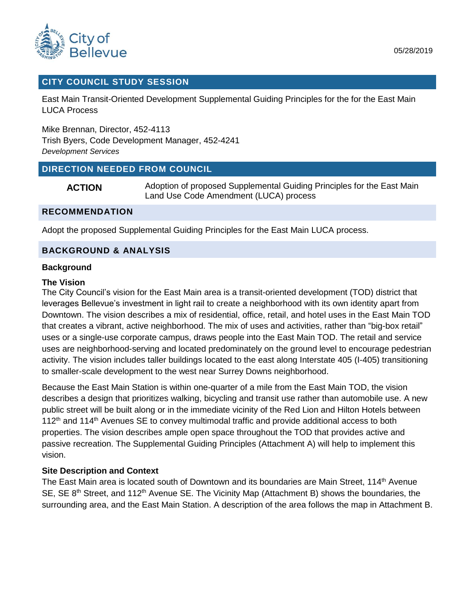

# **CITY COUNCIL STUDY SESSION**

East Main Transit-Oriented Development Supplemental Guiding Principles for the for the East Main LUCA Process

Mike Brennan, Director, 452-4113 Trish Byers, Code Development Manager, 452-4241 *Development Services*

## **DIRECTION NEEDED FROM COUNCIL**

**ACTION** Adoption of proposed Supplemental Guiding Principles for the East Main Land Use Code Amendment (LUCA) process

### **RECOMMENDATION**

Adopt the proposed Supplemental Guiding Principles for the East Main LUCA process.

### **BACKGROUND & ANALYSIS**

#### **Background**

#### **The Vision**

The City Council's vision for the East Main area is a transit-oriented development (TOD) district that leverages Bellevue's investment in light rail to create a neighborhood with its own identity apart from Downtown. The vision describes a mix of residential, office, retail, and hotel uses in the East Main TOD that creates a vibrant, active neighborhood. The mix of uses and activities, rather than "big-box retail" uses or a single-use corporate campus, draws people into the East Main TOD. The retail and service uses are neighborhood-serving and located predominately on the ground level to encourage pedestrian activity. The vision includes taller buildings located to the east along Interstate 405 (I-405) transitioning to smaller-scale development to the west near Surrey Downs neighborhood.

Because the East Main Station is within one-quarter of a mile from the East Main TOD, the vision describes a design that prioritizes walking, bicycling and transit use rather than automobile use. A new public street will be built along or in the immediate vicinity of the Red Lion and Hilton Hotels between  $112<sup>th</sup>$  and  $114<sup>th</sup>$  Avenues SE to convey multimodal traffic and provide additional access to both properties. The vision describes ample open space throughout the TOD that provides active and passive recreation. The Supplemental Guiding Principles (Attachment A) will help to implement this vision.

### **Site Description and Context**

The East Main area is located south of Downtown and its boundaries are Main Street, 114<sup>th</sup> Avenue SE, SE 8<sup>th</sup> Street, and 112<sup>th</sup> Avenue SE. The Vicinity Map (Attachment B) shows the boundaries, the surrounding area, and the East Main Station. A description of the area follows the map in Attachment B.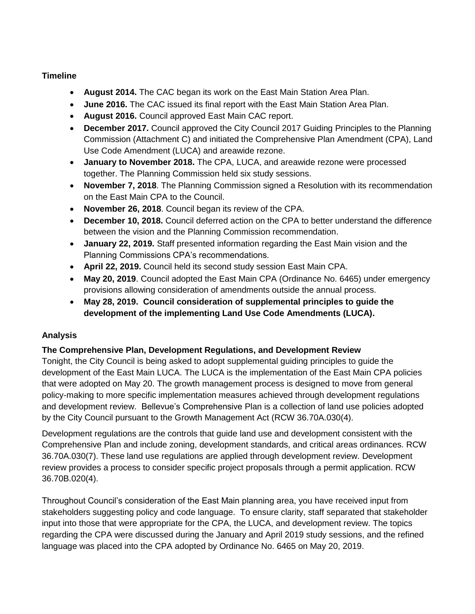# **Timeline**

- **August 2014.** The CAC began its work on the East Main Station Area Plan.
- **June 2016.** The CAC issued its final report with the East Main Station Area Plan.
- **August 2016.** Council approved East Main CAC report.
- **December 2017.** Council approved the City Council 2017 Guiding Principles to the Planning Commission (Attachment C) and initiated the Comprehensive Plan Amendment (CPA), Land Use Code Amendment (LUCA) and areawide rezone.
- **January to November 2018.** The CPA, LUCA, and areawide rezone were processed together. The Planning Commission held six study sessions.
- **November 7, 2018**. The Planning Commission signed a Resolution with its recommendation on the East Main CPA to the Council.
- **November 26, 2018**. Council began its review of the CPA.
- **December 10, 2018.** Council deferred action on the CPA to better understand the difference between the vision and the Planning Commission recommendation.
- **January 22, 2019.** Staff presented information regarding the East Main vision and the Planning Commissions CPA's recommendations.
- **April 22, 2019.** Council held its second study session East Main CPA.
- **May 20, 2019**. Council adopted the East Main CPA (Ordinance No. 6465) under emergency provisions allowing consideration of amendments outside the annual process.
- **May 28, 2019. Council consideration of supplemental principles to guide the development of the implementing Land Use Code Amendments (LUCA).**

# **Analysis**

# **The Comprehensive Plan, Development Regulations, and Development Review**

Tonight, the City Council is being asked to adopt supplemental guiding principles to guide the development of the East Main LUCA. The LUCA is the implementation of the East Main CPA policies that were adopted on May 20. The growth management process is designed to move from general policy-making to more specific implementation measures achieved through development regulations and development review. Bellevue's Comprehensive Plan is a collection of land use policies adopted by the City Council pursuant to the Growth Management Act (RCW 36.70A.030(4).

Development regulations are the controls that guide land use and development consistent with the Comprehensive Plan and include zoning, development standards, and critical areas ordinances. RCW 36.70A.030(7). These land use regulations are applied through development review. Development review provides a process to consider specific project proposals through a permit application. RCW 36.70B.020(4).

Throughout Council's consideration of the East Main planning area, you have received input from stakeholders suggesting policy and code language. To ensure clarity, staff separated that stakeholder input into those that were appropriate for the CPA, the LUCA, and development review. The topics regarding the CPA were discussed during the January and April 2019 study sessions, and the refined language was placed into the CPA adopted by Ordinance No. 6465 on May 20, 2019.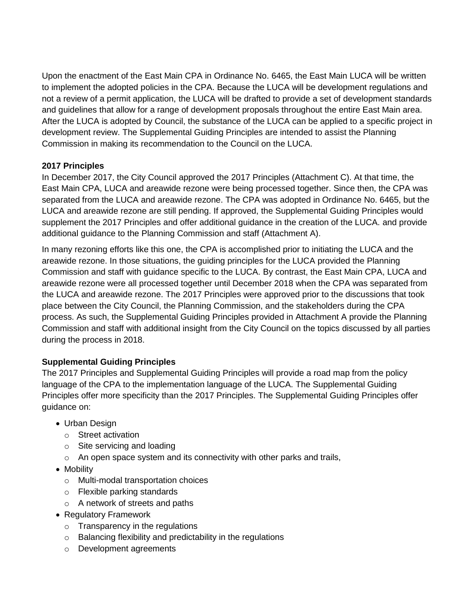Upon the enactment of the East Main CPA in Ordinance No. 6465, the East Main LUCA will be written to implement the adopted policies in the CPA. Because the LUCA will be development regulations and not a review of a permit application, the LUCA will be drafted to provide a set of development standards and guidelines that allow for a range of development proposals throughout the entire East Main area. After the LUCA is adopted by Council, the substance of the LUCA can be applied to a specific project in development review. The Supplemental Guiding Principles are intended to assist the Planning Commission in making its recommendation to the Council on the LUCA.

# **2017 Principles**

In December 2017, the City Council approved the 2017 Principles (Attachment C). At that time, the East Main CPA, LUCA and areawide rezone were being processed together. Since then, the CPA was separated from the LUCA and areawide rezone. The CPA was adopted in Ordinance No. 6465, but the LUCA and areawide rezone are still pending. If approved, the Supplemental Guiding Principles would supplement the 2017 Principles and offer additional guidance in the creation of the LUCA. and provide additional guidance to the Planning Commission and staff (Attachment A).

In many rezoning efforts like this one, the CPA is accomplished prior to initiating the LUCA and the areawide rezone. In those situations, the guiding principles for the LUCA provided the Planning Commission and staff with guidance specific to the LUCA. By contrast, the East Main CPA, LUCA and areawide rezone were all processed together until December 2018 when the CPA was separated from the LUCA and areawide rezone. The 2017 Principles were approved prior to the discussions that took place between the City Council, the Planning Commission, and the stakeholders during the CPA process. As such, the Supplemental Guiding Principles provided in Attachment A provide the Planning Commission and staff with additional insight from the City Council on the topics discussed by all parties during the process in 2018.

# **Supplemental Guiding Principles**

The 2017 Principles and Supplemental Guiding Principles will provide a road map from the policy language of the CPA to the implementation language of the LUCA. The Supplemental Guiding Principles offer more specificity than the 2017 Principles. The Supplemental Guiding Principles offer guidance on:

- Urban Design
	- o Street activation
	- o Site servicing and loading
	- o An open space system and its connectivity with other parks and trails,
- Mobility
	- o Multi-modal transportation choices
	- o Flexible parking standards
	- o A network of streets and paths
- Regulatory Framework
	- $\circ$  Transparency in the regulations
	- o Balancing flexibility and predictability in the regulations
	- o Development agreements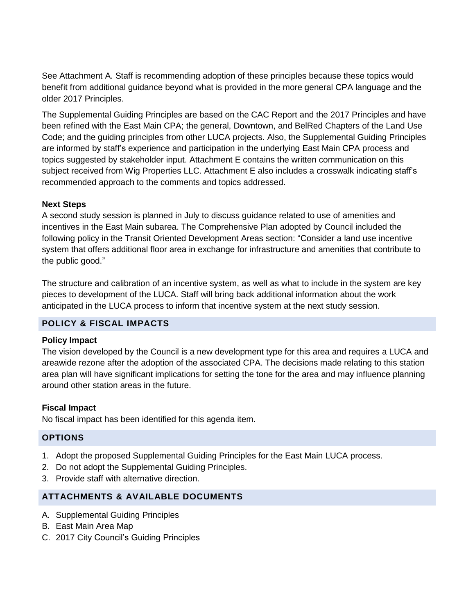See Attachment A. Staff is recommending adoption of these principles because these topics would benefit from additional guidance beyond what is provided in the more general CPA language and the older 2017 Principles.

The Supplemental Guiding Principles are based on the CAC Report and the 2017 Principles and have been refined with the East Main CPA; the general, Downtown, and BelRed Chapters of the Land Use Code; and the guiding principles from other LUCA projects. Also, the Supplemental Guiding Principles are informed by staff's experience and participation in the underlying East Main CPA process and topics suggested by stakeholder input. Attachment E contains the written communication on this subject received from Wig Properties LLC. Attachment E also includes a crosswalk indicating staff's recommended approach to the comments and topics addressed.

## **Next Steps**

A second study session is planned in July to discuss guidance related to use of amenities and incentives in the East Main subarea. The Comprehensive Plan adopted by Council included the following policy in the Transit Oriented Development Areas section: "Consider a land use incentive system that offers additional floor area in exchange for infrastructure and amenities that contribute to the public good."

The structure and calibration of an incentive system, as well as what to include in the system are key pieces to development of the LUCA. Staff will bring back additional information about the work anticipated in the LUCA process to inform that incentive system at the next study session.

# **POLICY & FISCAL IMPACTS**

## **Policy Impact**

The vision developed by the Council is a new development type for this area and requires a LUCA and areawide rezone after the adoption of the associated CPA. The decisions made relating to this station area plan will have significant implications for setting the tone for the area and may influence planning around other station areas in the future.

## **Fiscal Impact**

No fiscal impact has been identified for this agenda item.

## **OPTIONS**

- 1. Adopt the proposed Supplemental Guiding Principles for the East Main LUCA process.
- 2. Do not adopt the Supplemental Guiding Principles.
- 3. Provide staff with alternative direction.

## **ATTACHMENTS & AVAILABLE DOCUMENTS**

- A. Supplemental Guiding Principles
- B. East Main Area Map
- C. 2017 City Council's Guiding Principles